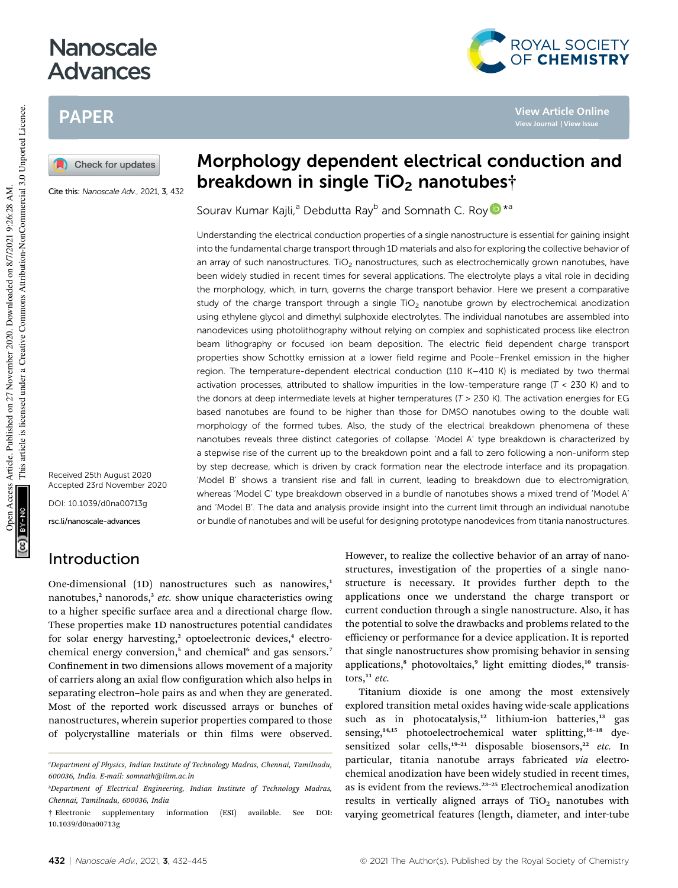# **Nanoscale** Advances

# PAPER

Check for updates

Cite this: Nanoscale Adv., 2021, 3, 432

Received 25th August 2020 Accepted 23rd November 2020 DOI: 10.1039/d0na00713g

rsc.li/nanoscale-advances

## Introduction

One-dimensional (1D) nanostructures such as nanowires,<sup>1</sup> nanotubes,<sup>2</sup> nanorods,<sup>3</sup> etc. show unique characteristics owing to a higher specific surface area and a directional charge flow. These properties make 1D nanostructures potential candidates for solar energy harvesting,<sup>2</sup> optoelectronic devices,<sup>4</sup> electrochemical energy conversion,<sup>5</sup> and chemical<sup>6</sup> and gas sensors.<sup>7</sup> Confinement in two dimensions allows movement of a majority of carriers along an axial flow configuration which also helps in separating electron–hole pairs as and when they are generated. Most of the reported work discussed arrays or bunches of nanostructures, wherein superior properties compared to those of polycrystalline materials or thin films were observed.

# Morphology dependent electrical conduction and breakdown in single  $TiO<sub>2</sub>$  nanotubest

Sourav Kumar Kajli,<sup>a</sup> Debdutta Ray<sup>b</sup> and Somnath C. Roy D<sup>\*a</sup>

Understanding the electrical conduction properties of a single nanostructure is essential for gaining insight into the fundamental charge transport through 1D materials and also for exploring the collective behavior of an array of such nanostructures. TiO<sub>2</sub> nanostructures, such as electrochemically grown nanotubes, have been widely studied in recent times for several applications. The electrolyte plays a vital role in deciding the morphology, which, in turn, governs the charge transport behavior. Here we present a comparative study of the charge transport through a single  $TiO<sub>2</sub>$  nanotube grown by electrochemical anodization using ethylene glycol and dimethyl sulphoxide electrolytes. The individual nanotubes are assembled into nanodevices using photolithography without relying on complex and sophisticated process like electron beam lithography or focused ion beam deposition. The electric field dependent charge transport properties show Schottky emission at a lower field regime and Poole–Frenkel emission in the higher region. The temperature-dependent electrical conduction (110 K–410 K) is mediated by two thermal activation processes, attributed to shallow impurities in the low-temperature range ( $T < 230$  K) and to the donors at deep intermediate levels at higher temperatures ( $T > 230$  K). The activation energies for EG based nanotubes are found to be higher than those for DMSO nanotubes owing to the double wall morphology of the formed tubes. Also, the study of the electrical breakdown phenomena of these nanotubes reveals three distinct categories of collapse. 'Model A' type breakdown is characterized by a stepwise rise of the current up to the breakdown point and a fall to zero following a non-uniform step by step decrease, which is driven by crack formation near the electrode interface and its propagation. 'Model B' shows a transient rise and fall in current, leading to breakdown due to electromigration, whereas 'Model C' type breakdown observed in a bundle of nanotubes shows a mixed trend of 'Model A' and 'Model B'. The data and analysis provide insight into the current limit through an individual nanotube or bundle of nanotubes and will be useful for designing prototype nanodevices from titania nanostructures.

> However, to realize the collective behavior of an array of nanostructures, investigation of the properties of a single nanostructure is necessary. It provides further depth to the applications once we understand the charge transport or current conduction through a single nanostructure. Also, it has the potential to solve the drawbacks and problems related to the efficiency or performance for a device application. It is reported that single nanostructures show promising behavior in sensing applications,<sup>8</sup> photovoltaics,<sup>9</sup> light emitting diodes,<sup>10</sup> transistors, $11$  *etc.*

> Titanium dioxide is one among the most extensively explored transition metal oxides having wide-scale applications such as in photocatalysis,<sup>12</sup> lithium-ion batteries,<sup>13</sup> gas sensing,<sup>14,15</sup> photoelectrochemical water splitting,<sup>16-18</sup> dyesensitized solar cells,<sup>19-21</sup> disposable biosensors,<sup>22</sup> etc. In particular, titania nanotube arrays fabricated *via* electrochemical anodization have been widely studied in recent times, as is evident from the reviews.<sup>23-25</sup> Electrochemical anodization results in vertically aligned arrays of  $TiO<sub>2</sub>$  nanotubes with varying geometrical features (length, diameter, and inter-tube



**View Article Online View Journal | View Issue**

*<sup>a</sup>Department of Physics, Indian Institute of Technology Madras, Chennai, Tamilnadu, 600036, India. E-mail: somnath@iitm.ac.in*

*<sup>b</sup>Department of Electrical Engineering, Indian Institute of Technology Madras, Chennai, Tamilnadu, 600036, India*

<sup>†</sup> Electronic supplementary information (ESI) available. See DOI: 10.1039/d0na00713g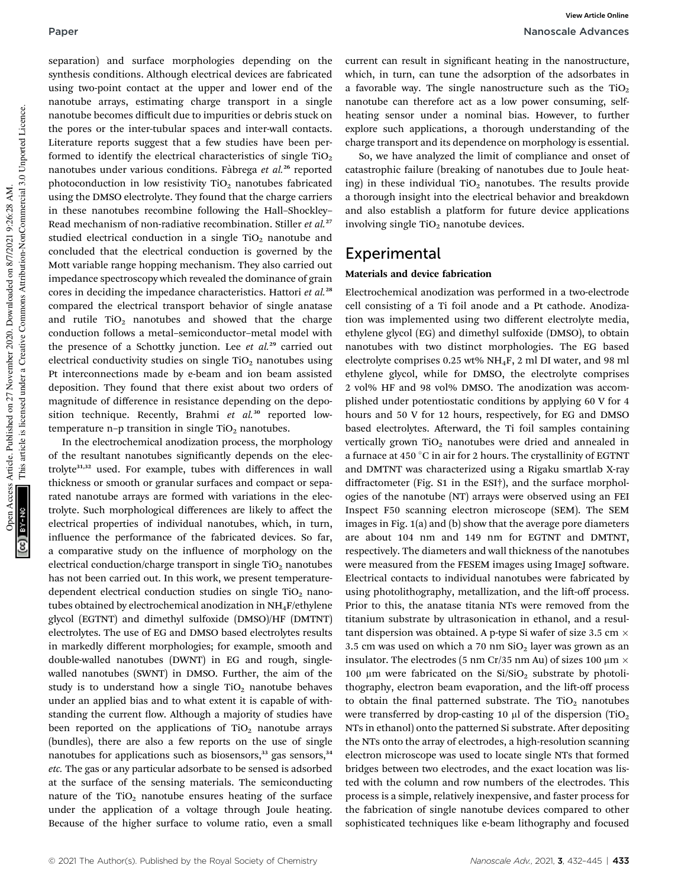separation) and surface morphologies depending on the synthesis conditions. Although electrical devices are fabricated using two-point contact at the upper and lower end of the nanotube arrays, estimating charge transport in a single nanotube becomes difficult due to impurities or debris stuck on the pores or the inter-tubular spaces and inter-wall contacts. Literature reports suggest that a few studies have been performed to identify the electrical characteristics of single  $TiO<sub>2</sub>$ nanotubes under various conditions. Fàbrega et al.<sup>26</sup> reported photoconduction in low resistivity  $TiO<sub>2</sub>$  nanotubes fabricated using the DMSO electrolyte. They found that the charge carriers in these nanotubes recombine following the Hall–Shockley– Read mechanism of non-radiative recombination. Stiller *et al.*<sup>27</sup> studied electrical conduction in a single  $TiO<sub>2</sub>$  nanotube and concluded that the electrical conduction is governed by the Mott variable range hopping mechanism. They also carried out impedance spectroscopy which revealed the dominance of grain cores in deciding the impedance characteristics. Hattori *et al.*<sup>28</sup> compared the electrical transport behavior of single anatase and rutile  $TiO<sub>2</sub>$  nanotubes and showed that the charge conduction follows a metal–semiconductor–metal model with the presence of a Schottky junction. Lee *et al.*<sup>29</sup> carried out electrical conductivity studies on single  $TiO<sub>2</sub>$  nanotubes using Pt interconnections made by e-beam and ion beam assisted deposition. They found that there exist about two orders of

temperature n–p transition in single  $TiO<sub>2</sub>$  nanotubes. In the electrochemical anodization process, the morphology of the resultant nanotubes signicantly depends on the electrolyte31,32 used. For example, tubes with differences in wall thickness or smooth or granular surfaces and compact or separated nanotube arrays are formed with variations in the electrolyte. Such morphological differences are likely to affect the electrical properties of individual nanotubes, which, in turn, influence the performance of the fabricated devices. So far, a comparative study on the influence of morphology on the electrical conduction/charge transport in single  $TiO<sub>2</sub>$  nanotubes has not been carried out. In this work, we present temperaturedependent electrical conduction studies on single  $TiO<sub>2</sub>$  nanotubes obtained by electrochemical anodization in NH4F/ethylene glycol (EGTNT) and dimethyl sulfoxide (DMSO)/HF (DMTNT) electrolytes. The use of EG and DMSO based electrolytes results in markedly different morphologies; for example, smooth and double-walled nanotubes (DWNT) in EG and rough, singlewalled nanotubes (SWNT) in DMSO. Further, the aim of the study is to understand how a single  $TiO<sub>2</sub>$  nanotube behaves under an applied bias and to what extent it is capable of withstanding the current flow. Although a majority of studies have been reported on the applications of  $TiO<sub>2</sub>$  nanotube arrays (bundles), there are also a few reports on the use of single nanotubes for applications such as biosensors, $33$  gas sensors, $34$ *etc.* The gas or any particular adsorbate to be sensed is adsorbed at the surface of the sensing materials. The semiconducting nature of the  $TiO<sub>2</sub>$  nanotube ensures heating of the surface under the application of a voltage through Joule heating. Because of the higher surface to volume ratio, even a small

magnitude of difference in resistance depending on the deposition technique. Recently, Brahmi *et al.*<sup>30</sup> reported lowcurrent can result in significant heating in the nanostructure, which, in turn, can tune the adsorption of the adsorbates in a favorable way. The single nanostructure such as the  $TiO<sub>2</sub>$ nanotube can therefore act as a low power consuming, selfheating sensor under a nominal bias. However, to further explore such applications, a thorough understanding of the charge transport and its dependence on morphology is essential.

So, we have analyzed the limit of compliance and onset of catastrophic failure (breaking of nanotubes due to Joule heating) in these individual  $TiO<sub>2</sub>$  nanotubes. The results provide a thorough insight into the electrical behavior and breakdown and also establish a platform for future device applications involving single  $TiO<sub>2</sub>$  nanotube devices.

### Experimental

### Materials and device fabrication

Electrochemical anodization was performed in a two-electrode cell consisting of a Ti foil anode and a Pt cathode. Anodization was implemented using two different electrolyte media, ethylene glycol (EG) and dimethyl sulfoxide (DMSO), to obtain nanotubes with two distinct morphologies. The EG based electrolyte comprises 0.25 wt%  $NH_4F$ , 2 ml DI water, and 98 ml ethylene glycol, while for DMSO, the electrolyte comprises 2 vol% HF and 98 vol% DMSO. The anodization was accomplished under potentiostatic conditions by applying 60 V for 4 hours and 50 V for 12 hours, respectively, for EG and DMSO based electrolytes. Afterward, the Ti foil samples containing vertically grown  $TiO<sub>2</sub>$  nanotubes were dried and annealed in a furnace at 450 °C in air for 2 hours. The crystallinity of EGTNT and DMTNT was characterized using a Rigaku smartlab X-ray diffractometer (Fig. S1 in the ESI†), and the surface morphologies of the nanotube (NT) arrays were observed using an FEI Inspect F50 scanning electron microscope (SEM). The SEM images in Fig. 1(a) and (b) show that the average pore diameters are about 104 nm and 149 nm for EGTNT and DMTNT, respectively. The diameters and wall thickness of the nanotubes were measured from the FESEM images using ImageJ software. Electrical contacts to individual nanotubes were fabricated by using photolithography, metallization, and the lift-off process. Prior to this, the anatase titania NTs were removed from the titanium substrate by ultrasonication in ethanol, and a resultant dispersion was obtained. A p-type Si wafer of size 3.5 cm  $\times$ 3.5 cm was used on which a 70 nm  $SiO<sub>2</sub>$  layer was grown as an insulator. The electrodes (5 nm Cr/35 nm Au) of sizes 100  $\mu$ m  $\times$ 100 µm were fabricated on the  $Si/SiO<sub>2</sub>$  substrate by photolithography, electron beam evaporation, and the lift-off process to obtain the final patterned substrate. The  $TiO<sub>2</sub>$  nanotubes were transferred by drop-casting 10  $\mu$ l of the dispersion (TiO<sub>2</sub>) NTs in ethanol) onto the patterned Si substrate. After depositing the NTs onto the array of electrodes, a high-resolution scanning electron microscope was used to locate single NTs that formed bridges between two electrodes, and the exact location was listed with the column and row numbers of the electrodes. This process is a simple, relatively inexpensive, and faster process for the fabrication of single nanotube devices compared to other sophisticated techniques like e-beam lithography and focused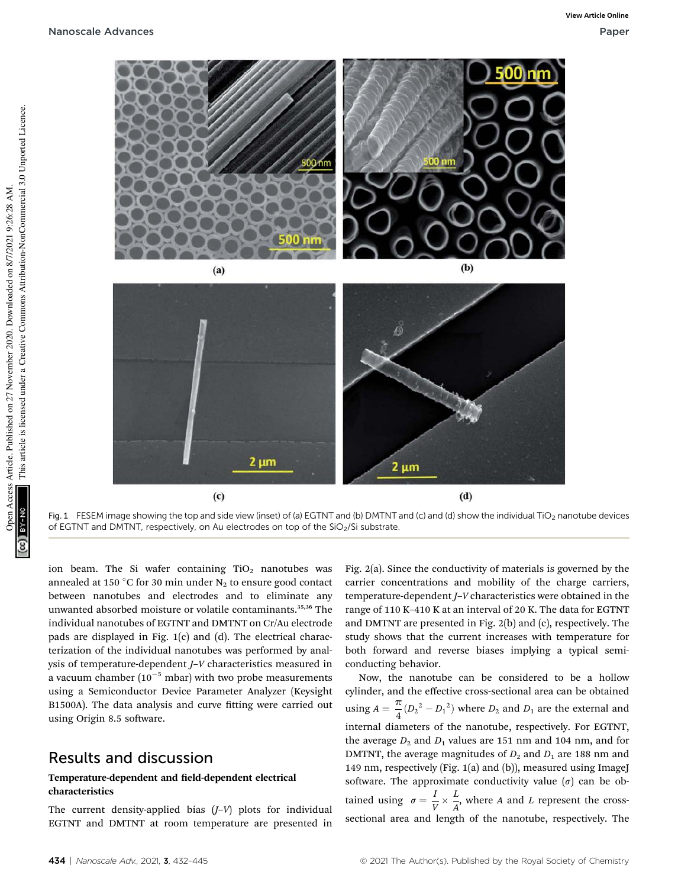

Fig. 1 FESEM image showing the top and side view (inset) of (a) EGTNT and (b) DMTNT and (c) and (d) show the individual TiO<sub>2</sub> nanotube devices of EGTNT and DMTNT, respectively, on Au electrodes on top of the SiO<sub>2</sub>/Si substrate.

ion beam. The Si wafer containing  $TiO<sub>2</sub>$  nanotubes was annealed at 150 °C for 30 min under  $N_2$  to ensure good contact between nanotubes and electrodes and to eliminate any unwanted absorbed moisture or volatile contaminants.35,36 The individual nanotubes of EGTNT and DMTNT on Cr/Au electrode pads are displayed in Fig. 1(c) and (d). The electrical characterization of the individual nanotubes was performed by analysis of temperature-dependent *J*–*V* characteristics measured in a vacuum chamber  $(10^{-5}$  mbar) with two probe measurements using a Semiconductor Device Parameter Analyzer (Keysight B1500A). The data analysis and curve fitting were carried out using Origin 8.5 software.

## Results and discussion

### Temperature-dependent and field-dependent electrical characteristics

The current density-applied bias (*J*–*V*) plots for individual EGTNT and DMTNT at room temperature are presented in Fig. 2(a). Since the conductivity of materials is governed by the carrier concentrations and mobility of the charge carriers, temperature-dependent *J*–*V* characteristics were obtained in the range of 110 K–410 K at an interval of 20 K. The data for EGTNT and DMTNT are presented in Fig. 2(b) and (c), respectively. The study shows that the current increases with temperature for both forward and reverse biases implying a typical semiconducting behavior.

Now, the nanotube can be considered to be a hollow cylinder, and the effective cross-sectional area can be obtained using  $A = \frac{\pi}{4}$  $\frac{\pi}{4}(D_2^2 - D_1^2)$  where  $D_2$  and  $D_1$  are the external and internal diameters of the nanotube, respectively. For EGTNT, the average  $D_2$  and  $D_1$  values are 151 nm and 104 nm, and for DMTNT, the average magnitudes of  $D_2$  and  $D_1$  are 188 nm and 149 nm, respectively (Fig. 1(a) and (b)), measured using ImageJ software. The approximate conductivity value  $(\sigma)$  can be obtained using  $\sigma = \frac{l}{l}$  $\overline{V}^{\times}$ *L*  $\frac{2}{A}$ , where *A* and *L* represent the crosssectional area and length of the nanotube, respectively. The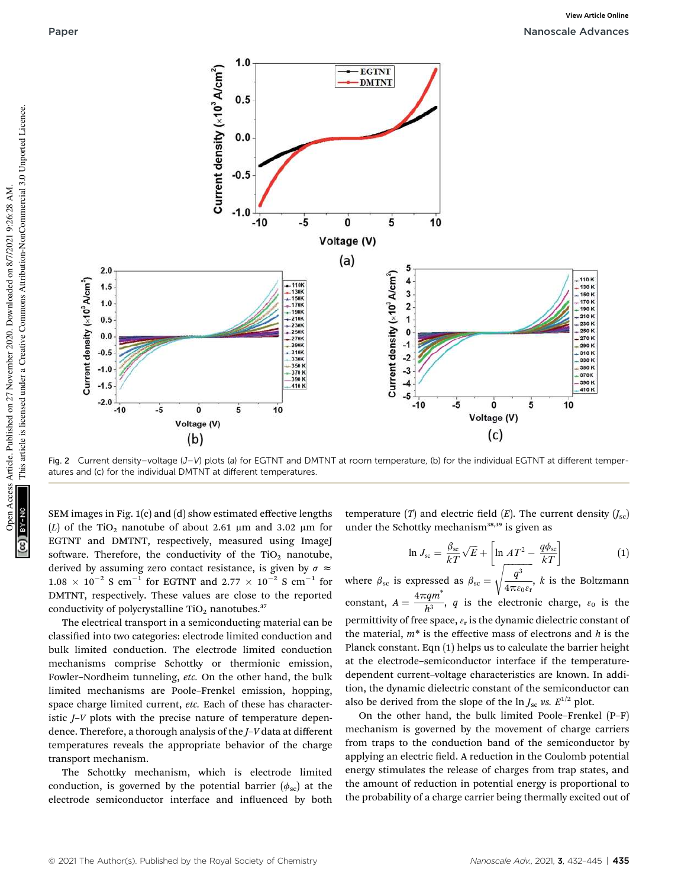

Fig. 2 Current density–voltage (J–V) plots (a) for EGTNT and DMTNT at room temperature, (b) for the individual EGTNT at different temperatures and (c) for the individual DMTNT at different temperatures.

SEM images in Fig. 1(c) and (d) show estimated effective lengths (*L*) of the TiO<sub>2</sub> nanotube of about 2.61  $\mu$ m and 3.02  $\mu$ m for EGTNT and DMTNT, respectively, measured using ImageJ software. Therefore, the conductivity of the  $TiO<sub>2</sub>$  nanotube, derived by assuming zero contact resistance, is given by  $\sigma \approx$  $1.08 \times 10^{-2}$  S cm<sup>-1</sup> for EGTNT and  $2.77 \times 10^{-2}$  S cm<sup>-1</sup> for DMTNT, respectively. These values are close to the reported conductivity of polycrystalline  $TiO<sub>2</sub>$  nanotubes.<sup>37</sup>

The electrical transport in a semiconducting material can be classified into two categories: electrode limited conduction and bulk limited conduction. The electrode limited conduction mechanisms comprise Schottky or thermionic emission, Fowler–Nordheim tunneling, *etc.* On the other hand, the bulk limited mechanisms are Poole–Frenkel emission, hopping, space charge limited current, *etc.* Each of these has characteristic *J*–*V* plots with the precise nature of temperature dependence. Therefore, a thorough analysis of the *J*–*V* data at different temperatures reveals the appropriate behavior of the charge transport mechanism.

The Schottky mechanism, which is electrode limited conduction, is governed by the potential barrier  $(\phi_{\rm sc})$  at the electrode semiconductor interface and influenced by both temperature (*T*) and electric field (*E*). The current density  $(I_{\rm sc})$ under the Schottky mechanism<sup>38,39</sup> is given as

$$
\ln J_{\rm sc} = \frac{\beta_{\rm sc}}{kT} \sqrt{E} + \left[ \ln A T^2 - \frac{q\phi_{\rm sc}}{kT} \right]
$$
(1)

where  $\beta_{\rm sc}$  is expressed as  $\beta_{\rm sc}$  =  $q^3$  $4\pi\varepsilon_0\varepsilon_\text{r}$ , *k* is the Boltzmann constant,  $A = \frac{4\pi qm^*}{h^3}$  $\frac{\delta q}{h^3}$ , *q* is the electronic charge,  $\varepsilon_0$  is the permittivity of free space,  $\varepsilon_{\rm r}$  is the dynamic dielectric constant of the material, *m*\* is the effective mass of electrons and *h* is the Planck constant. Eqn (1) helps us to calculate the barrier height at the electrode–semiconductor interface if the temperaturedependent current–voltage characteristics are known. In addition, the dynamic dielectric constant of the semiconductor can also be derived from the slope of the  $\ln J_{\rm sc}$  *vs.*  $E^{1/2}$  plot.

On the other hand, the bulk limited Poole–Frenkel (P–F) mechanism is governed by the movement of charge carriers from traps to the conduction band of the semiconductor by applying an electric field. A reduction in the Coulomb potential energy stimulates the release of charges from trap states, and the amount of reduction in potential energy is proportional to the probability of a charge carrier being thermally excited out of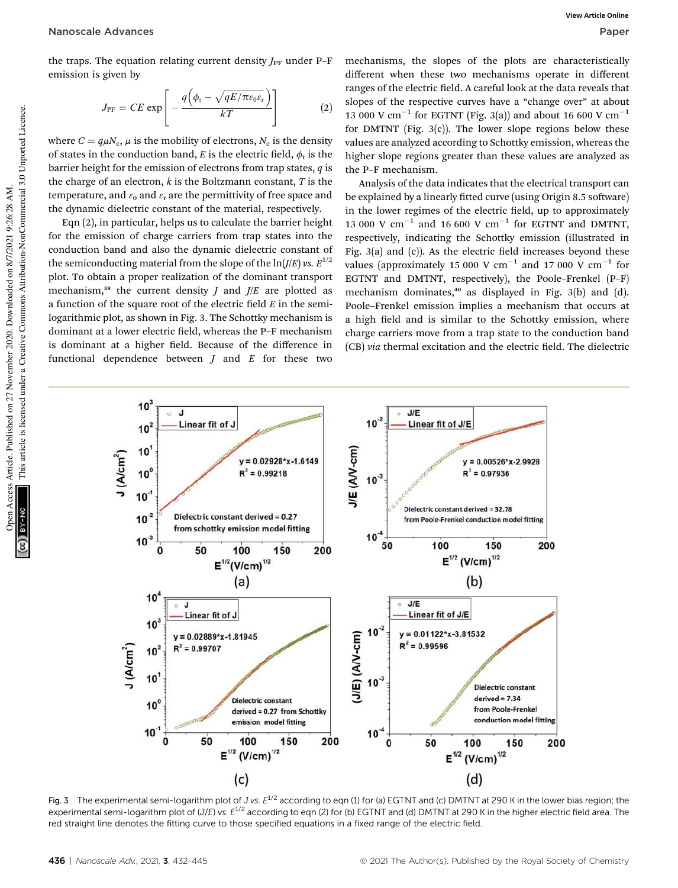the traps. The equation relating current density  $J_{\text{PF}}$  under P-F emission is given by

$$
J_{\rm PF} = CE \exp\left[-\frac{q\left(\phi_{\rm t} - \sqrt{qE/\pi\varepsilon_0\varepsilon_{\rm r}}\right)}{kT}\right]
$$
 (2)

where  $C = q \mu N_c$ ,  $\mu$  is the mobility of electrons,  $N_c$  is the density of states in the conduction band,  $E$  is the electric field,  $\phi_t$  is the barrier height for the emission of electrons from trap states, *q* is the charge of an electron, *k* is the Boltzmann constant, *T* is the temperature, and  $\varepsilon_0$  and  $\varepsilon_r$  are the permittivity of free space and the dynamic dielectric constant of the material, respectively.

Eqn (2), in particular, helps us to calculate the barrier height for the emission of charge carriers from trap states into the conduction band and also the dynamic dielectric constant of the semiconducting material from the slope of the  $\ln(I/E)$  *vs.*  $E^{1/2}$ plot. To obtain a proper realization of the dominant transport mechanism,<sup>38</sup> the current density *J* and  $J/E$  are plotted as a function of the square root of the electric field  $E$  in the semilogarithmic plot, as shown in Fig. 3. The Schottky mechanism is dominant at a lower electric field, whereas the P–F mechanism is dominant at a higher field. Because of the difference in functional dependence between *J* and *E* for these two

mechanisms, the slopes of the plots are characteristically different when these two mechanisms operate in different ranges of the electric field. A careful look at the data reveals that slopes of the respective curves have a "change over" at about 13 000 V  $\text{cm}^{-1}$  for EGTNT (Fig. 3(a)) and about 16 600 V  $\text{cm}^{-1}$ for DMTNT (Fig.  $3(c)$ ). The lower slope regions below these values are analyzed according to Schottky emission, whereas the higher slope regions greater than these values are analyzed as the P–F mechanism.

Analysis of the data indicates that the electrical transport can be explained by a linearly fitted curve (using Origin 8.5 software) in the lower regimes of the electric field, up to approximately 13 000 V  $\text{cm}^{-1}$  and 16 600 V  $\text{cm}^{-1}$  for EGTNT and DMTNT, respectively, indicating the Schottky emission (illustrated in Fig.  $3(a)$  and  $(c)$ ). As the electric field increases beyond these values (approximately 15 000 V  $\rm cm^{-1}$  and 17 000 V  $\rm cm^{-1}$  for EGTNT and DMTNT, respectively), the Poole–Frenkel (P–F) mechanism dominates,<sup>40</sup> as displayed in Fig. 3(b) and (d). Poole–Frenkel emission implies a mechanism that occurs at a high field and is similar to the Schottky emission, where charge carriers move from a trap state to the conduction band (CB) *via* thermal excitation and the electric field. The dielectric



Fig. 3 The experimental semi-logarithm plot of J vs.  $E^{1/2}$  according to eqn (1) for (a) EGTNT and (c) DMTNT at 290 K in the lower bias region; the experimental semi-logarithm plot of (J/E) vs.  $E^{1/2}$  according to eqn (2) for (b) EGTNT and (d) DMTNT at 290 K in the higher electric field area. The red straight line denotes the fitting curve to those specified equations in a fixed range of the electric field.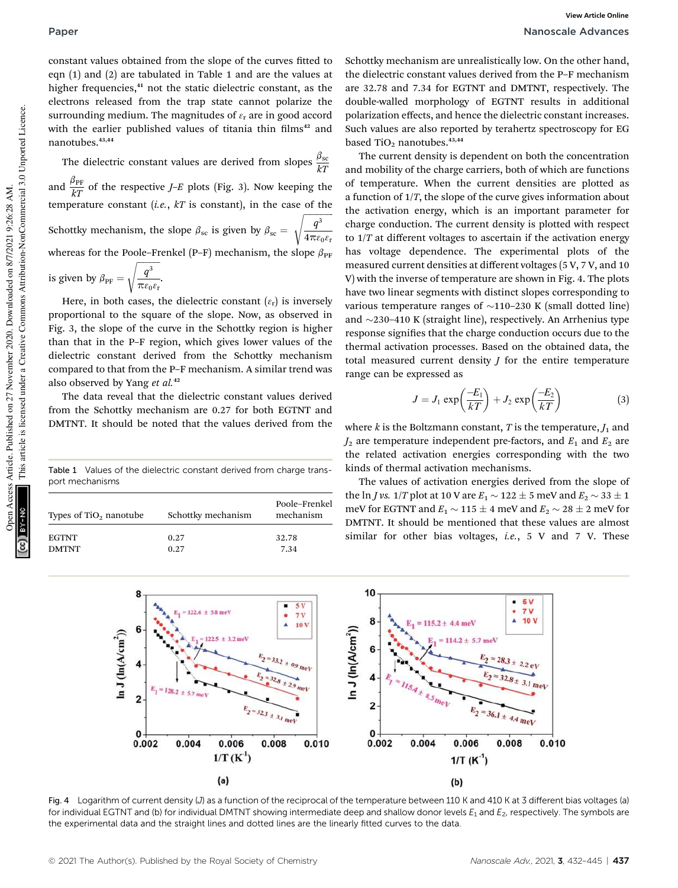constant values obtained from the slope of the curves fitted to eqn (1) and (2) are tabulated in Table 1 and are the values at higher frequencies,<sup>41</sup> not the static dielectric constant, as the electrons released from the trap state cannot polarize the surrounding medium. The magnitudes of  $\varepsilon$ <sub>r</sub> are in good accord with the earlier published values of titania thin films<sup>42</sup> and nanotubes.43,44

The dielectric constant values are derived from slopes  $\frac{\beta_{\rm sc}}{kT}$ and  $\frac{\beta_{\text{PF}}}{kT}$  of the respective *J–E* plots (Fig. 3). Now keeping the temperature constant (*i.e.*,  $kT$  is constant), in the case of the Schottky mechanism, the slope  $\beta_{\rm sc}$  is given by  $\beta_{\rm sc}$  =  $q^3$  $4\pi\varepsilon_0\varepsilon_\text{r}$ s whereas for the Poole–Frenkel (P–F) mechanism, the slope  $\beta_{\text{PF}}$ is given by  $\beta_{\text{PF}} =$  $q^3$  $\pi \varepsilon_0 \varepsilon_r$ s .

Here, in both cases, the dielectric constant  $(\varepsilon_{\rm r})$  is inversely proportional to the square of the slope. Now, as observed in Fig. 3, the slope of the curve in the Schottky region is higher than that in the P–F region, which gives lower values of the dielectric constant derived from the Schottky mechanism compared to that from the P–F mechanism. A similar trend was also observed by Yang *et al.*<sup>42</sup>

The data reveal that the dielectric constant values derived from the Schottky mechanism are 0.27 for both EGTNT and DMTNT. It should be noted that the values derived from the

Table 1 Values of the dielectric constant derived from charge transport mechanisms

| Types of $TiO2$ nanotube | Schottky mechanism | Poole-Frenkel<br>mechanism |
|--------------------------|--------------------|----------------------------|
| <b>EGTNT</b>             | 0.27               | 32.78                      |
| <b>DMTNT</b>             | 0.27               | 7.34                       |

Schottky mechanism are unrealistically low. On the other hand, the dielectric constant values derived from the P–F mechanism are 32.78 and 7.34 for EGTNT and DMTNT, respectively. The double-walled morphology of EGTNT results in additional polarization effects, and hence the dielectric constant increases. Such values are also reported by terahertz spectroscopy for EG based TiO<sub>2</sub> nanotubes. $43,44$ 

The current density is dependent on both the concentration and mobility of the charge carriers, both of which are functions of temperature. When the current densities are plotted as a function of 1/*T*, the slope of the curve gives information about the activation energy, which is an important parameter for charge conduction. The current density is plotted with respect to 1/*T* at different voltages to ascertain if the activation energy has voltage dependence. The experimental plots of the measured current densities at different voltages (5 V, 7 V, and 10 V) with the inverse of temperature are shown in Fig. 4. The plots have two linear segments with distinct slopes corresponding to various temperature ranges of  $\sim$ 110–230 K (small dotted line) and  $\sim$ 230–410 K (straight line), respectively. An Arrhenius type response signifies that the charge conduction occurs due to the thermal activation processes. Based on the obtained data, the total measured current density *J* for the entire temperature range can be expressed as

$$
J = J_1 \exp\left(\frac{-E_1}{kT}\right) + J_2 \exp\left(\frac{-E_2}{kT}\right) \tag{3}
$$

where  $k$  is the Boltzmann constant,  $T$  is the temperature,  $J_1$  and  $J_2$  are temperature independent pre-factors, and  $E_1$  and  $E_2$  are the related activation energies corresponding with the two kinds of thermal activation mechanisms.

The values of activation energies derived from the slope of the ln *J* vs.  $1/T$  plot at 10 V are  $E_1 \sim 122 \pm 5$  meV and  $E_2 \sim 33 \pm 1$ meV for EGTNT and  $E_1 \sim 115 \pm 4$  meV and  $E_2 \sim 28 \pm 2$  meV for DMTNT. It should be mentioned that these values are almost similar for other bias voltages, *i.e.*, 5 V and 7 V. These



Fig. 4 Logarithm of current density (J) as a function of the reciprocal of the temperature between 110 K and 410 K at 3 different bias voltages (a) for individual EGTNT and (b) for individual DMTNT showing intermediate deep and shallow donor levels  $E_1$  and  $E_2$ , respectively. The symbols are the experimental data and the straight lines and dotted lines are the linearly fitted curves to the data.

This article is licensed under a Creative Commons Attribution-NonCommercial 3.0 Unported Licence.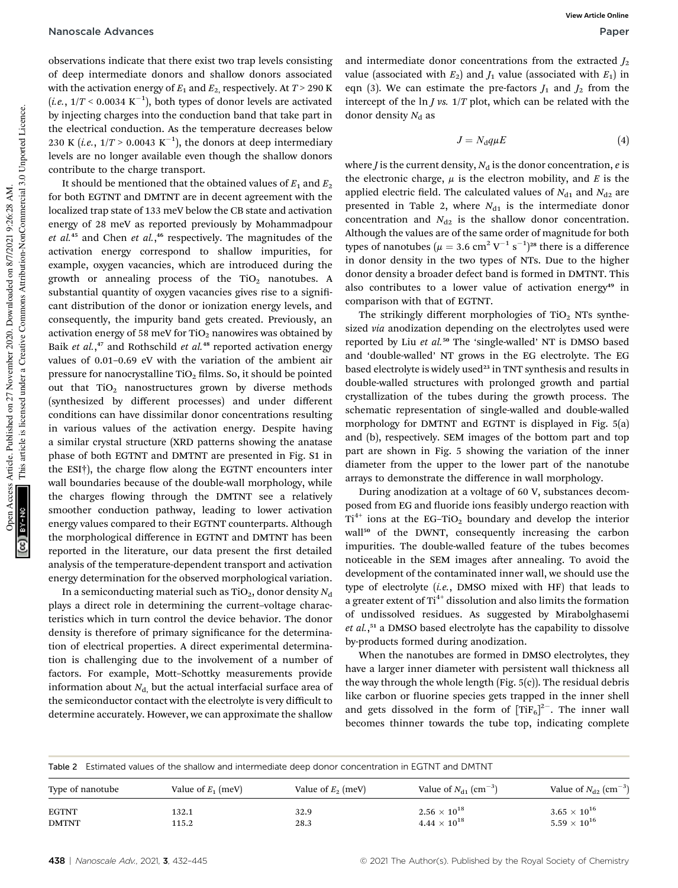observations indicate that there exist two trap levels consisting of deep intermediate donors and shallow donors associated with the activation energy of  $E_1$  and  $E_2$ , respectively. At  $T > 290$  K  $(i.e., 1/T < 0.0034 \text{ K}^{-1})$ , both types of donor levels are activated by injecting charges into the conduction band that take part in the electrical conduction. As the temperature decreases below 230 K (*i.e.*,  $1/T > 0.0043 \text{ K}^{-1}$ ), the donors at deep intermediary levels are no longer available even though the shallow donors contribute to the charge transport.

It should be mentioned that the obtained values of  $E_1$  and  $E_2$ for both EGTNT and DMTNT are in decent agreement with the localized trap state of 133 meV below the CB state and activation energy of 28 meV as reported previously by Mohammadpour *et al.*<sup>45</sup> and Chen *et al.*, <sup>46</sup> respectively. The magnitudes of the activation energy correspond to shallow impurities, for example, oxygen vacancies, which are introduced during the growth or annealing process of the  $TiO<sub>2</sub>$  nanotubes. A substantial quantity of oxygen vacancies gives rise to a significant distribution of the donor or ionization energy levels, and consequently, the impurity band gets created. Previously, an activation energy of 58 meV for  $TiO<sub>2</sub>$  nanowires was obtained by Baik *et al.*, <sup>47</sup> and Rothschild *et al.*<sup>48</sup> reported activation energy values of 0.01–0.69 eV with the variation of the ambient air pressure for nanocrystalline  $TiO<sub>2</sub>$  films. So, it should be pointed out that  $TiO<sub>2</sub>$  nanostructures grown by diverse methods (synthesized by different processes) and under different conditions can have dissimilar donor concentrations resulting in various values of the activation energy. Despite having a similar crystal structure (XRD patterns showing the anatase phase of both EGTNT and DMTNT are presented in Fig. S1 in the  $EST<sub>1</sub>$ ), the charge flow along the EGTNT encounters inter wall boundaries because of the double-wall morphology, while the charges flowing through the DMTNT see a relatively smoother conduction pathway, leading to lower activation energy values compared to their EGTNT counterparts. Although the morphological difference in EGTNT and DMTNT has been reported in the literature, our data present the first detailed analysis of the temperature-dependent transport and activation energy determination for the observed morphological variation.

In a semiconducting material such as  $TiO<sub>2</sub>$ , donor density  $N<sub>d</sub>$ plays a direct role in determining the current–voltage characteristics which in turn control the device behavior. The donor density is therefore of primary significance for the determination of electrical properties. A direct experimental determination is challenging due to the involvement of a number of factors. For example, Mott–Schottky measurements provide information about  $N_{d}$ , but the actual interfacial surface area of the semiconductor contact with the electrolyte is very difficult to determine accurately. However, we can approximate the shallow

and intermediate donor concentrations from the extracted  $J_2$ value (associated with  $E_2$ ) and  $J_1$  value (associated with  $E_1$ ) in eqn (3). We can estimate the pre-factors  $J_1$  and  $J_2$  from the intercept of the ln *J vs.* 1/*T* plot, which can be related with the donor density  $N_d$  as

$$
J = N_{\rm d}q\mu E\tag{4}
$$

where *J* is the current density,  $N_d$  is the donor concentration, *e* is the electronic charge,  $\mu$  is the electron mobility, and *E* is the applied electric field. The calculated values of  $N_{d1}$  and  $N_{d2}$  are presented in Table 2, where  $N_{d1}$  is the intermediate donor concentration and  $N_{d2}$  is the shallow donor concentration. Although the values are of the same order of magnitude for both types of nanotubes ( $\mu = 3.6 \text{ cm}^2 \text{ V}^{-1} \text{ s}^{-1}$ )<sup>28</sup> there is a difference in donor density in the two types of NTs. Due to the higher donor density a broader defect band is formed in DMTNT. This also contributes to a lower value of activation energy<sup>49</sup> in comparison with that of EGTNT.

The strikingly different morphologies of TiO<sub>2</sub> NTs synthesized *via* anodization depending on the electrolytes used were reported by Liu *et al.*<sup>50</sup> The 'single-walled' NT is DMSO based and 'double-walled' NT grows in the EG electrolyte. The EG based electrolyte is widely used<sup>23</sup> in TNT synthesis and results in double-walled structures with prolonged growth and partial crystallization of the tubes during the growth process. The schematic representation of single-walled and double-walled morphology for DMTNT and EGTNT is displayed in Fig. 5(a) and (b), respectively. SEM images of the bottom part and top part are shown in Fig. 5 showing the variation of the inner diameter from the upper to the lower part of the nanotube arrays to demonstrate the difference in wall morphology.

During anodization at a voltage of 60 V, substances decomposed from EG and fluoride ions feasibly undergo reaction with  $Ti<sup>4+</sup>$  ions at the EG-TiO<sub>2</sub> boundary and develop the interior wall<sup>50</sup> of the DWNT, consequently increasing the carbon impurities. The double-walled feature of the tubes becomes noticeable in the SEM images after annealing. To avoid the development of the contaminated inner wall, we should use the type of electrolyte (*i.e.*, DMSO mixed with HF) that leads to a greater extent of Ti<sup>4+</sup> dissolution and also limits the formation of undissolved residues. As suggested by Mirabolghasemi *et al.*, <sup>51</sup> a DMSO based electrolyte has the capability to dissolve by-products formed during anodization.

When the nanotubes are formed in DMSO electrolytes, they have a larger inner diameter with persistent wall thickness all the way through the whole length (Fig. 5(c)). The residual debris like carbon or fluorine species gets trapped in the inner shell and gets dissolved in the form of  $[TiF_6]^{2-}$ . The inner wall becomes thinner towards the tube top, indicating complete

| Table 2 Estimated values of the shallow and intermediate deep donor concentration in EGTNT and DMTNT |  |
|------------------------------------------------------------------------------------------------------|--|
|                                                                                                      |  |

| Type of nanotube | Value of $E_1$ (meV) | Value of $E_2$ (meV) | Value of $N_{d1}$ (cm <sup>-3</sup> ) | Value of $N_{d2}$ (cm <sup>-3</sup> ) |
|------------------|----------------------|----------------------|---------------------------------------|---------------------------------------|
| <b>EGTNT</b>     | 132.1                | 32.9                 | $2.56 \times 10^{18}$                 | $3.65\times10^{16}$                   |
| <b>DMTNT</b>     | 115.2                | 28.3                 | $4.44 \times 10^{18}$                 | $5.59\times10^{16}$                   |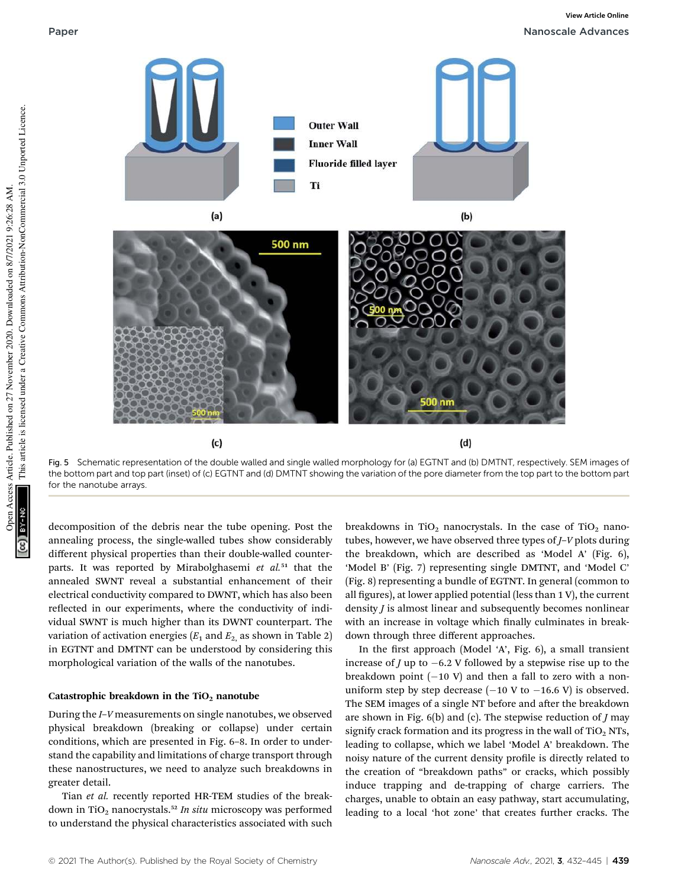

Fig. 5 Schematic representation of the double walled and single walled morphology for (a) EGTNT and (b) DMTNT, respectively. SEM images of the bottom part and top part (inset) of (c) EGTNT and (d) DMTNT showing the variation of the pore diameter from the top part to the bottom part for the nanotube arrays.

decomposition of the debris near the tube opening. Post the annealing process, the single-walled tubes show considerably different physical properties than their double-walled counterparts. It was reported by Mirabolghasemi *et al.*<sup>51</sup> that the annealed SWNT reveal a substantial enhancement of their electrical conductivity compared to DWNT, which has also been reflected in our experiments, where the conductivity of individual SWNT is much higher than its DWNT counterpart. The variation of activation energies  $(E_1 \text{ and } E_2 \text{ as shown in Table 2})$ in EGTNT and DMTNT can be understood by considering this morphological variation of the walls of the nanotubes.

 $(c)$ 

### Catastrophic breakdown in the  $TiO<sub>2</sub>$  nanotube

During the *I*–*V* measurements on single nanotubes, we observed physical breakdown (breaking or collapse) under certain conditions, which are presented in Fig. 6–8. In order to understand the capability and limitations of charge transport through these nanostructures, we need to analyze such breakdowns in greater detail.

Tian *et al.* recently reported HR-TEM studies of the breakdown in TiO<sub>2</sub> nanocrystals.<sup>52</sup> In situ microscopy was performed to understand the physical characteristics associated with such

breakdowns in TiO<sub>2</sub> nanocrystals. In the case of TiO<sub>2</sub> nanotubes, however, we have observed three types of *J*–*V* plots during the breakdown, which are described as 'Model A' (Fig. 6), 'Model B' (Fig. 7) representing single DMTNT, and 'Model C' (Fig. 8) representing a bundle of EGTNT. In general (common to all figures), at lower applied potential (less than  $1 V$ ), the current density *J* is almost linear and subsequently becomes nonlinear with an increase in voltage which finally culminates in breakdown through three different approaches.

 $(d)$ 

In the first approach (Model 'A', Fig. 6), a small transient increase of *J* up to  $-6.2$  V followed by a stepwise rise up to the breakdown point  $(-10 V)$  and then a fall to zero with a nonuniform step by step decrease  $(-10 \text{ V to } -16.6 \text{ V})$  is observed. The SEM images of a single NT before and after the breakdown are shown in Fig. 6(b) and (c). The stepwise reduction of *J* may signify crack formation and its progress in the wall of  $TiO<sub>2</sub> NTs$ , leading to collapse, which we label 'Model A' breakdown. The noisy nature of the current density profile is directly related to the creation of "breakdown paths" or cracks, which possibly induce trapping and de-trapping of charge carriers. The charges, unable to obtain an easy pathway, start accumulating, leading to a local 'hot zone' that creates further cracks. The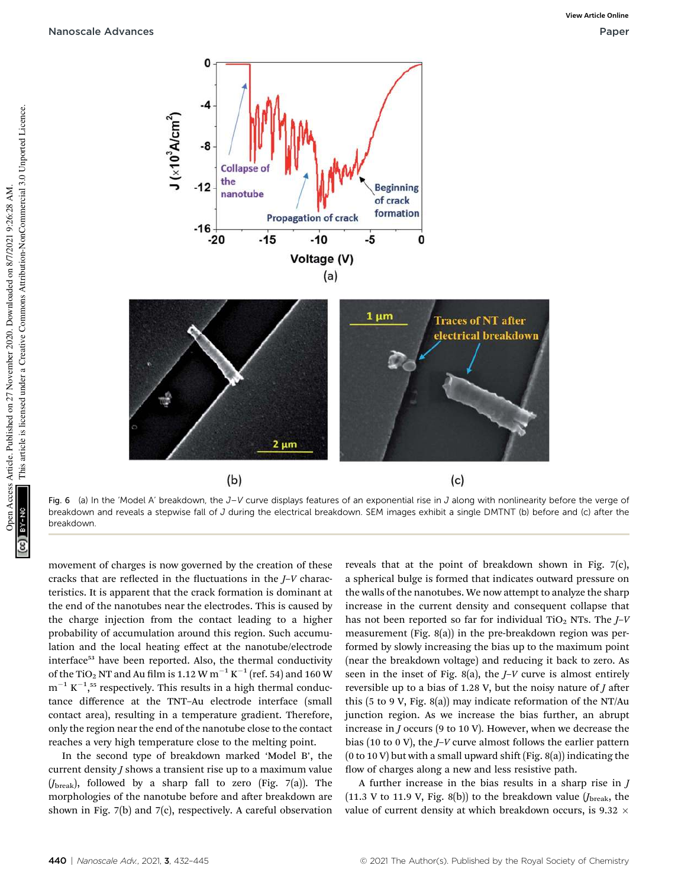

Fig. 6 (a) In the 'Model A' breakdown, the  $J-V$  curve displays features of an exponential rise in J along with nonlinearity before the verge of breakdown and reveals a stepwise fall of J during the electrical breakdown. SEM images exhibit a single DMTNT (b) before and (c) after the breakdown.

movement of charges is now governed by the creation of these cracks that are reflected in the fluctuations in the *J*–*V* characteristics. It is apparent that the crack formation is dominant at the end of the nanotubes near the electrodes. This is caused by the charge injection from the contact leading to a higher probability of accumulation around this region. Such accumulation and the local heating effect at the nanotube/electrode interface<sup>53</sup> have been reported. Also, the thermal conductivity of the TiO $_2$  NT and Au film is 1.12 W  $\mathrm{m}^{-1}\,\mathrm{K}^{-1}$  (ref. 54) and 160 W  $m^{-1} K^{-1}$ ,<sup>55</sup> respectively. This results in a high thermal conductance difference at the TNT–Au electrode interface (small contact area), resulting in a temperature gradient. Therefore, only the region near the end of the nanotube close to the contact reaches a very high temperature close to the melting point.

 $(b)$ 

In the second type of breakdown marked 'Model B', the current density *J* shows a transient rise up to a maximum value (*J*break), followed by a sharp fall to zero (Fig. 7(a)). The morphologies of the nanotube before and after breakdown are shown in Fig. 7(b) and 7(c), respectively. A careful observation

reveals that at the point of breakdown shown in Fig. 7(c), a spherical bulge is formed that indicates outward pressure on the walls of the nanotubes. We now attempt to analyze the sharp increase in the current density and consequent collapse that has not been reported so far for individual TiO<sub>2</sub> NTs. The  $J-V$ measurement (Fig. 8(a)) in the pre-breakdown region was performed by slowly increasing the bias up to the maximum point (near the breakdown voltage) and reducing it back to zero. As seen in the inset of Fig. 8(a), the *J*–*V* curve is almost entirely reversible up to a bias of 1.28 V, but the noisy nature of  $J$  after this (5 to 9 V, Fig. 8(a)) may indicate reformation of the NT/Au junction region. As we increase the bias further, an abrupt increase in *J* occurs (9 to 10 V). However, when we decrease the bias (10 to 0 V), the *J*–*V* curve almost follows the earlier pattern (0 to 10 V) but with a small upward shift (Fig. 8(a)) indicating the flow of charges along a new and less resistive path.

 $(c)$ 

A further increase in the bias results in a sharp rise in *J* (11.3 V to 11.9 V, Fig. 8(b)) to the breakdown value  $(J_{\text{break}})$ , the value of current density at which breakdown occurs, is 9.32  $\times$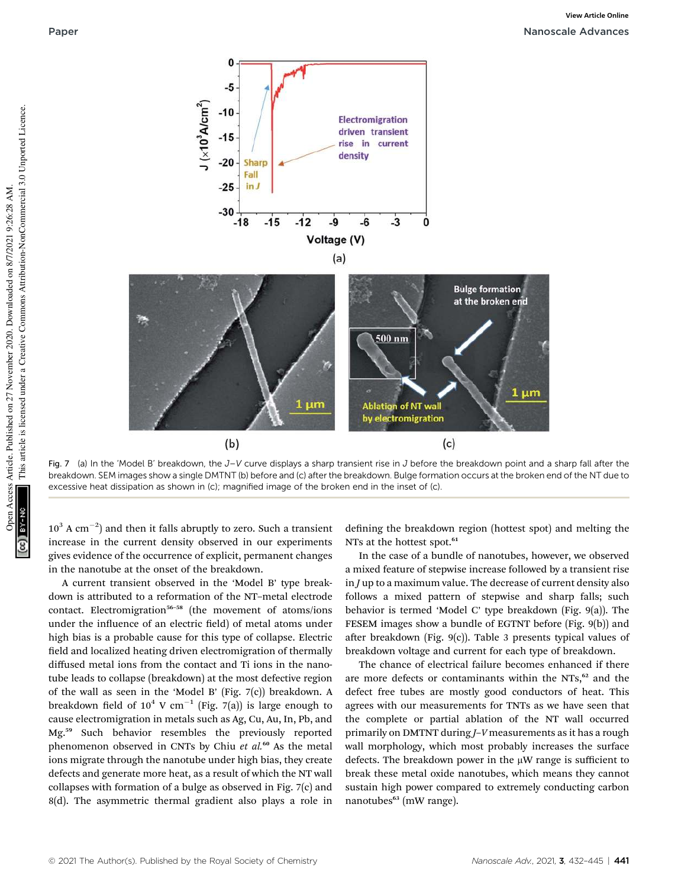

Fig. 7 (a) In the 'Model B' breakdown, the  $J-V$  curve displays a sharp transient rise in J before the breakdown point and a sharp fall after the breakdown. SEM images show a single DMTNT (b) before and (c) after the breakdown. Bulge formation occurs at the broken end of the NT due to excessive heat dissipation as shown in (c); magnified image of the broken end in the inset of (c).

 $10^3$  A cm<sup>-2</sup>) and then it falls abruptly to zero. Such a transient increase in the current density observed in our experiments gives evidence of the occurrence of explicit, permanent changes in the nanotube at the onset of the breakdown.

A current transient observed in the 'Model B' type breakdown is attributed to a reformation of the NT–metal electrode contact. Electromigration<sup>56-58</sup> (the movement of atoms/ions under the influence of an electric field) of metal atoms under high bias is a probable cause for this type of collapse. Electric field and localized heating driven electromigration of thermally diffused metal ions from the contact and Ti ions in the nanotube leads to collapse (breakdown) at the most defective region of the wall as seen in the 'Model B' (Fig. 7(c)) breakdown. A breakdown field of  $10^4$  V cm<sup>-1</sup> (Fig. 7(a)) is large enough to cause electromigration in metals such as Ag, Cu, Au, In, Pb, and Mg.<sup>59</sup> Such behavior resembles the previously reported phenomenon observed in CNTs by Chiu *et al.*<sup>60</sup> As the metal ions migrate through the nanotube under high bias, they create defects and generate more heat, as a result of which the NT wall collapses with formation of a bulge as observed in Fig. 7(c) and 8(d). The asymmetric thermal gradient also plays a role in

defining the breakdown region (hottest spot) and melting the NTs at the hottest spot.<sup>61</sup>

In the case of a bundle of nanotubes, however, we observed a mixed feature of stepwise increase followed by a transient rise in *J* up to a maximum value. The decrease of current density also follows a mixed pattern of stepwise and sharp falls; such behavior is termed 'Model C' type breakdown (Fig. 9(a)). The FESEM images show a bundle of EGTNT before (Fig. 9(b)) and after breakdown (Fig. 9(c)). Table 3 presents typical values of breakdown voltage and current for each type of breakdown.

The chance of electrical failure becomes enhanced if there are more defects or contaminants within the NTs,<sup>62</sup> and the defect free tubes are mostly good conductors of heat. This agrees with our measurements for TNTs as we have seen that the complete or partial ablation of the NT wall occurred primarily on DMTNT during *J*–*V* measurements as it has a rough wall morphology, which most probably increases the surface defects. The breakdown power in the  $\mu$ W range is sufficient to break these metal oxide nanotubes, which means they cannot sustain high power compared to extremely conducting carbon nanotubes<sup>63</sup> (mW range).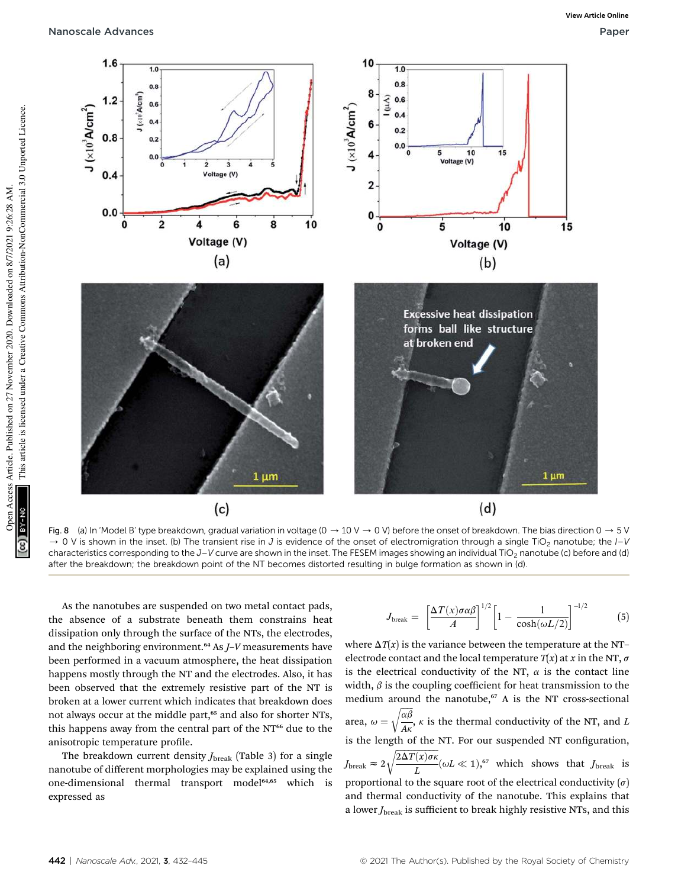

Fig. 8 (a) In 'Model B' type breakdown, gradual variation in voltage  $(0 \rightarrow 10 \, \text{V} \rightarrow 0 \, \text{V})$  before the onset of breakdown. The bias direction  $0 \rightarrow 5 \, \text{V}$ 0 V is shown in the inset. (b) The transient rise in J is evidence of the onset of electromigration through a single TiO<sub>2</sub> nanotube; the  $I-V$ characteristics corresponding to the  $J-V$  curve are shown in the inset. The FESEM images showing an individual TiO<sub>2</sub> nanotube (c) before and (d) after the breakdown; the breakdown point of the NT becomes distorted resulting in bulge formation as shown in (d).

As the nanotubes are suspended on two metal contact pads, the absence of a substrate beneath them constrains heat dissipation only through the surface of the NTs, the electrodes, and the neighboring environment.<sup>64</sup> As *J*–*V* measurements have been performed in a vacuum atmosphere, the heat dissipation happens mostly through the NT and the electrodes. Also, it has been observed that the extremely resistive part of the NT is broken at a lower current which indicates that breakdown does not always occur at the middle part,<sup>65</sup> and also for shorter NTs, this happens away from the central part of the NT<sup>66</sup> due to the anisotropic temperature profile.

The breakdown current density *J*<sub>break</sub> (Table 3) for a single nanotube of different morphologies may be explained using the one-dimensional thermal transport model<sup>64,65</sup> which is expressed as

$$
J_{\text{break}} = \left[\frac{\Delta T(x)\sigma\alpha\beta}{A}\right]^{1/2} \left[1 - \frac{1}{\cosh(\omega L/2)}\right]^{-1/2} \tag{5}
$$

where  $\Delta T(x)$  is the variance between the temperature at the NT– electrode contact and the local temperature  $T(x)$  at *x* in the NT,  $\sigma$ is the electrical conductivity of the NT,  $\alpha$  is the contact line width,  $\beta$  is the coupling coefficient for heat transmission to the medium around the nanotube, $67$  A is the NT cross-sectional area,  $\omega = \sqrt{\frac{\alpha \beta}{4 \kappa}}$ *A*k  $\sqrt{\frac{\alpha\beta}{4}}$ ,  $\kappa$  is the thermal conductivity of the NT, and *L* is the length of the NT. For our suspended NT configuration,  $J_{\text{break}} \approx 2\sqrt{\frac{2\Delta T(x)\sigma\kappa}{I}}$ *L*  $\sqrt{\frac{2\Delta T(x)\sigma\kappa}{L}}(\omega L \ll 1),^{57}$  which shows that *J*break is proportional to the square root of the electrical conductivity  $(\sigma)$ and thermal conductivity of the nanotube. This explains that a lower *J*<sub>break</sub> is sufficient to break highly resistive NTs, and this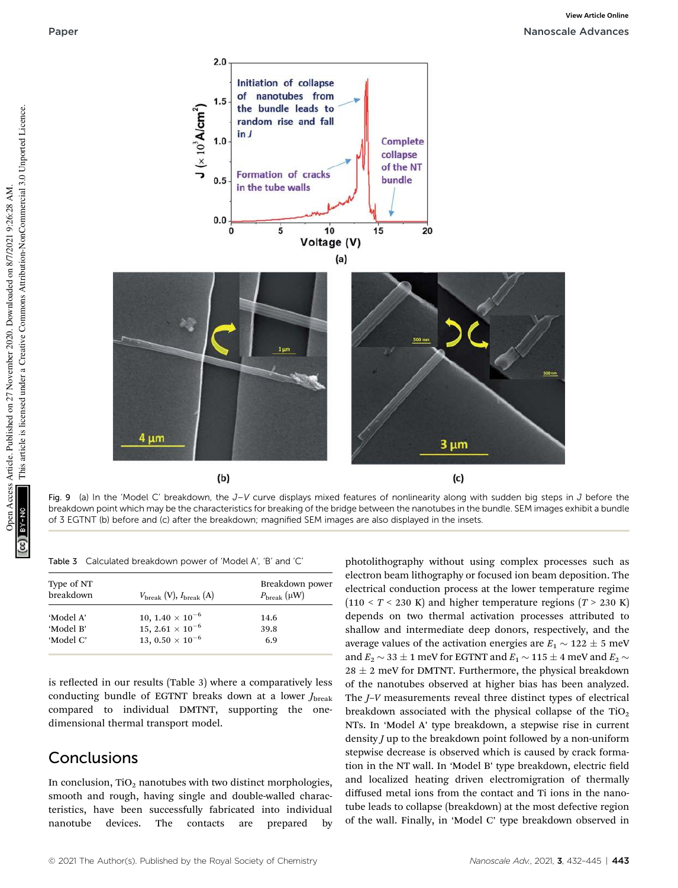Initiation of collapse of nanotubes from  $1.5$ the bundle leads to  $J$  ( $\times 10^3$  A/cm<sup>2</sup>) random rise and fall  $\ln J$  $1.0$ **Complete** collapse of the NT Formation of cracks bundle  $0.5$ in the tube walls  $0.0$  $10$  $15$ 5 20  $\bf{0}$ Voltage (V)  $(a)$ 4 um  $3 \mu m$  $(b)$  $(c)$ 

Fig. 9 (a) In the 'Model C' breakdown, the  $J-V$  curve displays mixed features of nonlinearity along with sudden big steps in  $J$  before the breakdown point which may be the characteristics for breaking of the bridge between the nanotubes in the bundle. SEM images exhibit a bundle of 3 EGTNT (b) before and (c) after the breakdown; magnified SEM images are also displayed in the insets.

Table 3 Calculated breakdown power of 'Model A', 'B' and 'C'

| Type of NT<br>breakdown | $V_{\text{break}} (V)$ , $I_{\text{break}} (A)$ | Breakdown power<br>$P_{\text{break}}(\mu W)$ |
|-------------------------|-------------------------------------------------|----------------------------------------------|
| 'Model A'               | 10, $1.40 \times 10^{-6}$                       | 14.6                                         |
| 'Model B'               | 15, 2.61 $\times$ 10 <sup>-6</sup>              | 39.8                                         |
| 'Model C'               | 13, $0.50 \times 10^{-6}$                       | 6.9                                          |

 $2.0$ 

is reflected in our results (Table 3) where a comparatively less conducting bundle of EGTNT breaks down at a lower *J*<sub>break</sub> compared to individual DMTNT, supporting the onedimensional thermal transport model.

## Conclusions

In conclusion,  $TiO<sub>2</sub>$  nanotubes with two distinct morphologies, smooth and rough, having single and double-walled characteristics, have been successfully fabricated into individual nanotube devices. The contacts are prepared by

photolithography without using complex processes such as electron beam lithography or focused ion beam deposition. The electrical conduction process at the lower temperature regime  $(110 < T < 230 \text{ K})$  and higher temperature regions  $(T > 230 \text{ K})$ depends on two thermal activation processes attributed to shallow and intermediate deep donors, respectively, and the average values of the activation energies are  $E_1 \sim 122 \pm 5$  meV and  $E_2 \sim 33 \pm 1$  meV for EGTNT and  $E_1 \sim 115 \pm 4$  meV and  $E_2 \sim$  $28 \pm 2$  meV for DMTNT. Furthermore, the physical breakdown of the nanotubes observed at higher bias has been analyzed. The *J*–*V* measurements reveal three distinct types of electrical breakdown associated with the physical collapse of the  $TiO<sub>2</sub>$ NTs. In 'Model A' type breakdown, a stepwise rise in current density *J* up to the breakdown point followed by a non-uniform stepwise decrease is observed which is caused by crack formation in the NT wall. In 'Model B' type breakdown, electric field and localized heating driven electromigration of thermally diffused metal ions from the contact and Ti ions in the nanotube leads to collapse (breakdown) at the most defective region of the wall. Finally, in 'Model C' type breakdown observed in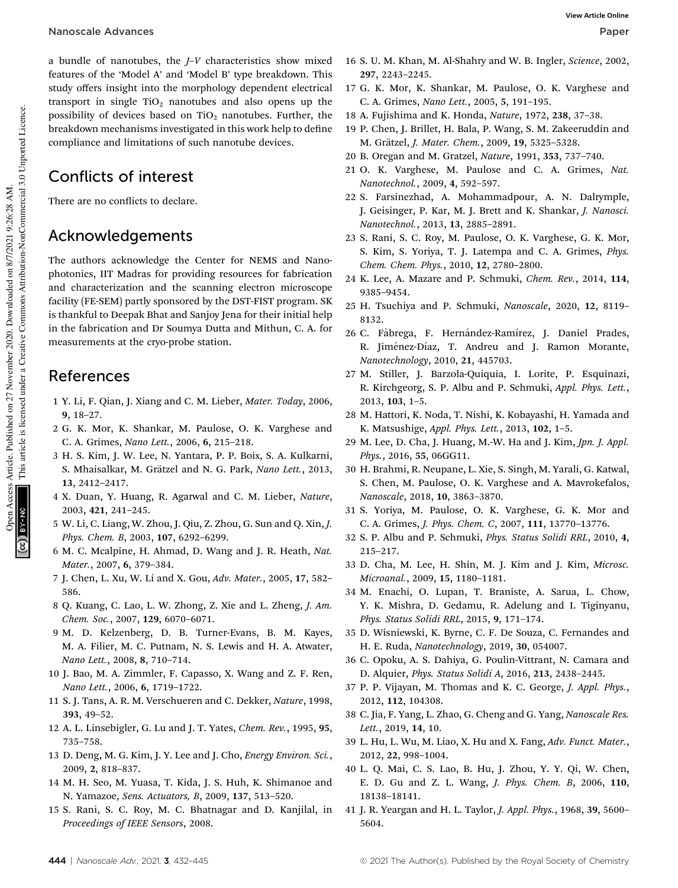### Nanoscale Advances Paper

a bundle of nanotubes, the *J*–*V* characteristics show mixed features of the 'Model A' and 'Model B' type breakdown. This study offers insight into the morphology dependent electrical transport in single  $TiO<sub>2</sub>$  nanotubes and also opens up the possibility of devices based on  $TiO<sub>2</sub>$  nanotubes. Further, the breakdown mechanisms investigated in this work help to define compliance and limitations of such nanotube devices.

## Conflicts of interest

There are no conflicts to declare.

### Acknowledgements

The authors acknowledge the Center for NEMS and Nanophotonics, IIT Madras for providing resources for fabrication and characterization and the scanning electron microscope facility (FE-SEM) partly sponsored by the DST-FIST program. SK is thankful to Deepak Bhat and Sanjoy Jena for their initial help in the fabrication and Dr Soumya Dutta and Mithun, C. A. for measurements at the cryo-probe station.

### References

- 1 Y. Li, F. Qian, J. Xiang and C. M. Lieber, *Mater. Today*, 2006, 9, 18–27.
- 2 G. K. Mor, K. Shankar, M. Paulose, O. K. Varghese and C. A. Grimes, *Nano Lett.*, 2006, 6, 215–218.
- 3 H. S. Kim, J. W. Lee, N. Yantara, P. P. Boix, S. A. Kulkarni, S. Mhaisalkar, M. Grätzel and N. G. Park, *Nano Lett.*, 2013, 13, 2412–2417.
- 4 X. Duan, Y. Huang, R. Agarwal and C. M. Lieber, *Nature*, 2003, 421, 241–245.
- 5 W. Li, C. Liang, W. Zhou, J. Qiu, Z. Zhou, G. Sun and Q. Xin, *J. Phys. Chem. B*, 2003, 107, 6292–6299.
- 6 M. C. Mcalpine, H. Ahmad, D. Wang and J. R. Heath, *Nat. Mater.*, 2007, 6, 379–384.
- 7 J. Chen, L. Xu, W. Li and X. Gou, *Adv. Mater.*, 2005, 17, 582– 586.
- 8 Q. Kuang, C. Lao, L. W. Zhong, Z. Xie and L. Zheng, *J. Am. Chem. Soc.*, 2007, 129, 6070–6071.
- 9 M. D. Kelzenberg, D. B. Turner-Evans, B. M. Kayes, M. A. Filier, M. C. Putnam, N. S. Lewis and H. A. Atwater, *Nano Lett.*, 2008, 8, 710–714.
- 10 J. Bao, M. A. Zimmler, F. Capasso, X. Wang and Z. F. Ren, *Nano Lett.*, 2006, 6, 1719–1722.
- 11 S. J. Tans, A. R. M. Verschueren and C. Dekker, *Nature*, 1998, 393, 49–52.
- 12 A. L. Linsebigler, G. Lu and J. T. Yates, *Chem. Rev.*, 1995, 95, 735–758.
- 13 D. Deng, M. G. Kim, J. Y. Lee and J. Cho, *Energy Environ. Sci.*, 2009, 2, 818–837.
- 14 M. H. Seo, M. Yuasa, T. Kida, J. S. Huh, K. Shimanoe and N. Yamazoe, *Sens. Actuators, B*, 2009, 137, 513–520.
- 15 S. Rani, S. C. Roy, M. C. Bhatnagar and D. Kanjilal, in *Proceedings of IEEE Sensors*, 2008.
- 16 S. U. M. Khan, M. Al-Shahry and W. B. Ingler, *Science*, 2002, 297, 2243–2245.
- 17 G. K. Mor, K. Shankar, M. Paulose, O. K. Varghese and C. A. Grimes, *Nano Lett.*, 2005, 5, 191–195.
- 18 A. Fujishima and K. Honda, *Nature*, 1972, 238, 37–38.
- 19 P. Chen, J. Brillet, H. Bala, P. Wang, S. M. Zakeeruddin and M. Grätzel, *J. Mater. Chem.*, 2009, 19, 5325-5328.
- 20 B. Oregan and M. Gratzel, *Nature*, 1991, 353, 737–740.
- 21 O. K. Varghese, M. Paulose and C. A. Grimes, *Nat. Nanotechnol.*, 2009, 4, 592–597.
- 22 S. Farsinezhad, A. Mohammadpour, A. N. Dalrymple, J. Geisinger, P. Kar, M. J. Brett and K. Shankar, *J. Nanosci. Nanotechnol.*, 2013, 13, 2885–2891.
- 23 S. Rani, S. C. Roy, M. Paulose, O. K. Varghese, G. K. Mor, S. Kim, S. Yoriya, T. J. Latempa and C. A. Grimes, *Phys. Chem. Chem. Phys.*, 2010, 12, 2780–2800.
- 24 K. Lee, A. Mazare and P. Schmuki, *Chem. Rev.*, 2014, 114, 9385–9454.
- 25 H. Tsuchiya and P. Schmuki, *Nanoscale*, 2020, 12, 8119– 8132.
- 26 C. Fàbrega, F. Hernández-Ramírez, J. Daniel Prades, R. Jiménez-Díaz, T. Andreu and J. Ramon Morante, *Nanotechnology*, 2010, 21, 445703.
- 27 M. Stiller, J. Barzola-Quiquia, I. Lorite, P. Esquinazi, R. Kirchgeorg, S. P. Albu and P. Schmuki, *Appl. Phys. Lett.*, 2013, 103, 1–5.
- 28 M. Hattori, K. Noda, T. Nishi, K. Kobayashi, H. Yamada and K. Matsushige, *Appl. Phys. Lett.*, 2013, 102, 1–5.
- 29 M. Lee, D. Cha, J. Huang, M.-W. Ha and J. Kim, *Jpn. J. Appl. Phys.*, 2016, 55, 06GG11.
- 30 H. Brahmi, R. Neupane, L. Xie, S. Singh, M. Yarali, G. Katwal, S. Chen, M. Paulose, O. K. Varghese and A. Mavrokefalos, *Nanoscale*, 2018, 10, 3863–3870.
- 31 S. Yoriya, M. Paulose, O. K. Varghese, G. K. Mor and C. A. Grimes, *J. Phys. Chem. C*, 2007, 111, 13770–13776.
- 32 S. P. Albu and P. Schmuki, *Phys. Status Solidi RRL*, 2010, 4, 215–217.
- 33 D. Cha, M. Lee, H. Shin, M. J. Kim and J. Kim, *Microsc. Microanal.*, 2009, 15, 1180–1181.
- 34 M. Enachi, O. Lupan, T. Braniste, A. Sarua, L. Chow, Y. K. Mishra, D. Gedamu, R. Adelung and I. Tiginyanu, *Phys. Status Solidi RRL*, 2015, 9, 171–174.
- 35 D. Wisniewski, K. Byrne, C. F. De Souza, C. Fernandes and H. E. Ruda, *Nanotechnology*, 2019, 30, 054007.
- 36 C. Opoku, A. S. Dahiya, G. Poulin-Vittrant, N. Camara and D. Alquier, *Phys. Status Solidi A*, 2016, 213, 2438–2445.
- 37 P. P. Vijayan, M. Thomas and K. C. George, *J. Appl. Phys.*, 2012, 112, 104308.
- 38 C. Jia, F. Yang, L. Zhao, G. Cheng and G. Yang, *Nanoscale Res. Lett.*, 2019, 14, 10.
- 39 L. Hu, L. Wu, M. Liao, X. Hu and X. Fang, *Adv. Funct. Mater.*, 2012, 22, 998–1004.
- 40 L. Q. Mai, C. S. Lao, B. Hu, J. Zhou, Y. Y. Qi, W. Chen, E. D. Gu and Z. L. Wang, *J. Phys. Chem. B*, 2006, 110, 18138–18141.
- 41 J. R. Yeargan and H. L. Taylor, *J. Appl. Phys.*, 1968, 39, 5600– 5604.